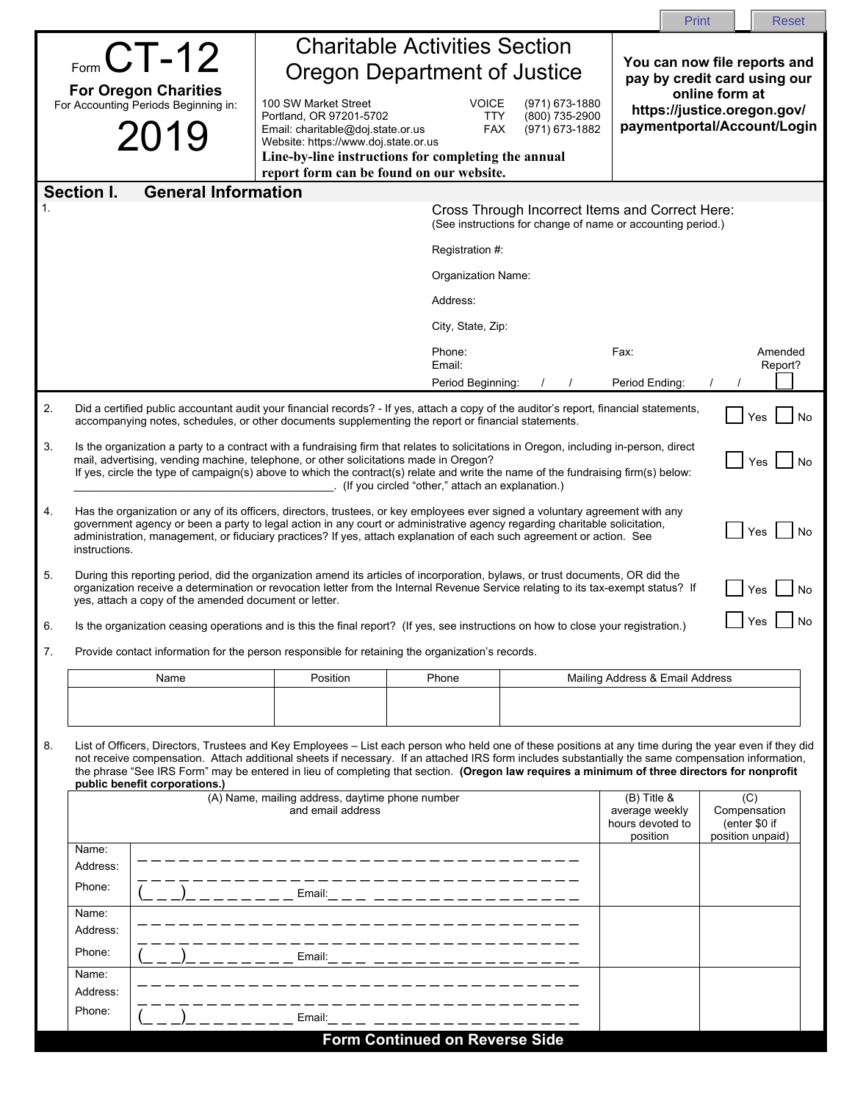| <b>Charitable Activities Section</b><br>$F_{\text{form}}$ CT-12<br>You can now file reports and<br><b>Oregon Department of Justice</b><br>pay by credit card using our<br><b>For Oregon Charities</b><br>online form at<br>For Accounting Periods Beginning in:<br>100 SW Market Street<br><b>VOICE</b><br>(971) 673-1880<br>https://justice.oregon.gov/<br>Portland, OR 97201-5702<br><b>TTY</b><br>(800) 735-2900<br>paymentportal/Account/Login<br>2019<br>Email: charitable@doj.state.or.us<br><b>FAX</b><br>(971) 673-1882<br>Website: https://www.doj.state.or.us<br>Line-by-line instructions for completing the annual<br>report form can be found on our website.<br>Section I.<br><b>General Information</b><br>Cross Through Incorrect Items and Correct Here:<br>(See instructions for change of name or accounting period.)<br>Registration #:<br>Organization Name:<br>Address:<br>City, State, Zip: |  |  |  |  |  |  |
|--------------------------------------------------------------------------------------------------------------------------------------------------------------------------------------------------------------------------------------------------------------------------------------------------------------------------------------------------------------------------------------------------------------------------------------------------------------------------------------------------------------------------------------------------------------------------------------------------------------------------------------------------------------------------------------------------------------------------------------------------------------------------------------------------------------------------------------------------------------------------------------------------------------------|--|--|--|--|--|--|
|                                                                                                                                                                                                                                                                                                                                                                                                                                                                                                                                                                                                                                                                                                                                                                                                                                                                                                                    |  |  |  |  |  |  |
|                                                                                                                                                                                                                                                                                                                                                                                                                                                                                                                                                                                                                                                                                                                                                                                                                                                                                                                    |  |  |  |  |  |  |
|                                                                                                                                                                                                                                                                                                                                                                                                                                                                                                                                                                                                                                                                                                                                                                                                                                                                                                                    |  |  |  |  |  |  |
|                                                                                                                                                                                                                                                                                                                                                                                                                                                                                                                                                                                                                                                                                                                                                                                                                                                                                                                    |  |  |  |  |  |  |
|                                                                                                                                                                                                                                                                                                                                                                                                                                                                                                                                                                                                                                                                                                                                                                                                                                                                                                                    |  |  |  |  |  |  |
|                                                                                                                                                                                                                                                                                                                                                                                                                                                                                                                                                                                                                                                                                                                                                                                                                                                                                                                    |  |  |  |  |  |  |
|                                                                                                                                                                                                                                                                                                                                                                                                                                                                                                                                                                                                                                                                                                                                                                                                                                                                                                                    |  |  |  |  |  |  |
|                                                                                                                                                                                                                                                                                                                                                                                                                                                                                                                                                                                                                                                                                                                                                                                                                                                                                                                    |  |  |  |  |  |  |
|                                                                                                                                                                                                                                                                                                                                                                                                                                                                                                                                                                                                                                                                                                                                                                                                                                                                                                                    |  |  |  |  |  |  |
| Phone:<br>Fax:<br>Amended<br>Email:<br>Report?                                                                                                                                                                                                                                                                                                                                                                                                                                                                                                                                                                                                                                                                                                                                                                                                                                                                     |  |  |  |  |  |  |
| Period Ending:<br>Period Beginning:                                                                                                                                                                                                                                                                                                                                                                                                                                                                                                                                                                                                                                                                                                                                                                                                                                                                                |  |  |  |  |  |  |
| 2.<br>Did a certified public accountant audit your financial records? - If yes, attach a copy of the auditor's report, financial statements,<br>Yes<br>No<br>accompanying notes, schedules, or other documents supplementing the report or financial statements.                                                                                                                                                                                                                                                                                                                                                                                                                                                                                                                                                                                                                                                   |  |  |  |  |  |  |
| Is the organization a party to a contract with a fundraising firm that relates to solicitations in Oregon, including in-person, direct<br>mail, advertising, vending machine, telephone, or other solicitations made in Oregon?<br>Yes<br>No<br>If yes, circle the type of campaign(s) above to which the contract(s) relate and write the name of the fundraising firm(s) below:<br>(If you circled "other," attach an explanation.)                                                                                                                                                                                                                                                                                                                                                                                                                                                                              |  |  |  |  |  |  |
| Has the organization or any of its officers, directors, trustees, or key employees ever signed a voluntary agreement with any<br>government agency or been a party to legal action in any court or administrative agency regarding charitable solicitation,<br>Yes<br>No<br>administration, management, or fiduciary practices? If yes, attach explanation of each such agreement or action. See<br>instructions.                                                                                                                                                                                                                                                                                                                                                                                                                                                                                                  |  |  |  |  |  |  |
| 5.<br>During this reporting period, did the organization amend its articles of incorporation, bylaws, or trust documents, OR did the<br>organization receive a determination or revocation letter from the Internal Revenue Service relating to its tax-exempt status? If<br>Yes<br>No<br>yes, attach a copy of the amended document or letter.                                                                                                                                                                                                                                                                                                                                                                                                                                                                                                                                                                    |  |  |  |  |  |  |
| Yes<br>No<br>Is the organization ceasing operations and is this the final report? (If yes, see instructions on how to close your registration.)<br>6                                                                                                                                                                                                                                                                                                                                                                                                                                                                                                                                                                                                                                                                                                                                                               |  |  |  |  |  |  |
| 7.<br>Provide contact information for the person responsible for retaining the organization's records.                                                                                                                                                                                                                                                                                                                                                                                                                                                                                                                                                                                                                                                                                                                                                                                                             |  |  |  |  |  |  |
| Position<br>Name<br>Phone<br>Mailing Address & Email Address                                                                                                                                                                                                                                                                                                                                                                                                                                                                                                                                                                                                                                                                                                                                                                                                                                                       |  |  |  |  |  |  |
|                                                                                                                                                                                                                                                                                                                                                                                                                                                                                                                                                                                                                                                                                                                                                                                                                                                                                                                    |  |  |  |  |  |  |
| 8.<br>List of Officers, Directors, Trustees and Key Employees – List each person who held one of these positions at any time during the year even if they did<br>not receive compensation. Attach additional sheets if necessary. If an attached IRS form includes substantially the same compensation information,<br>the phrase "See IRS Form" may be entered in lieu of completing that section. (Oregon law requires a minimum of three directors for nonprofit<br>public benefit corporations.)                                                                                                                                                                                                                                                                                                                                                                                                               |  |  |  |  |  |  |
| (A) Name, mailing address, daytime phone number<br>$(B)$ Title &<br>(C)<br>and email address<br>average weekly<br>Compensation<br>hours devoted to<br>(enter \$0 if<br>position<br>position unpaid)                                                                                                                                                                                                                                                                                                                                                                                                                                                                                                                                                                                                                                                                                                                |  |  |  |  |  |  |
| Name:<br>Address:                                                                                                                                                                                                                                                                                                                                                                                                                                                                                                                                                                                                                                                                                                                                                                                                                                                                                                  |  |  |  |  |  |  |
| Phone:<br>Email:_ _ _ _ _ _ _ _ _ _ _ _ _ _ _ _ _ _ _                                                                                                                                                                                                                                                                                                                                                                                                                                                                                                                                                                                                                                                                                                                                                                                                                                                              |  |  |  |  |  |  |
| Name:<br>Address:                                                                                                                                                                                                                                                                                                                                                                                                                                                                                                                                                                                                                                                                                                                                                                                                                                                                                                  |  |  |  |  |  |  |
| Phone:<br>Email:<br>__ ______________                                                                                                                                                                                                                                                                                                                                                                                                                                                                                                                                                                                                                                                                                                                                                                                                                                                                              |  |  |  |  |  |  |
| Name:<br>Address:                                                                                                                                                                                                                                                                                                                                                                                                                                                                                                                                                                                                                                                                                                                                                                                                                                                                                                  |  |  |  |  |  |  |
| Phone:<br>Email:                                                                                                                                                                                                                                                                                                                                                                                                                                                                                                                                                                                                                                                                                                                                                                                                                                                                                                   |  |  |  |  |  |  |
| <b>Form Continued on Reverse Side</b>                                                                                                                                                                                                                                                                                                                                                                                                                                                                                                                                                                                                                                                                                                                                                                                                                                                                              |  |  |  |  |  |  |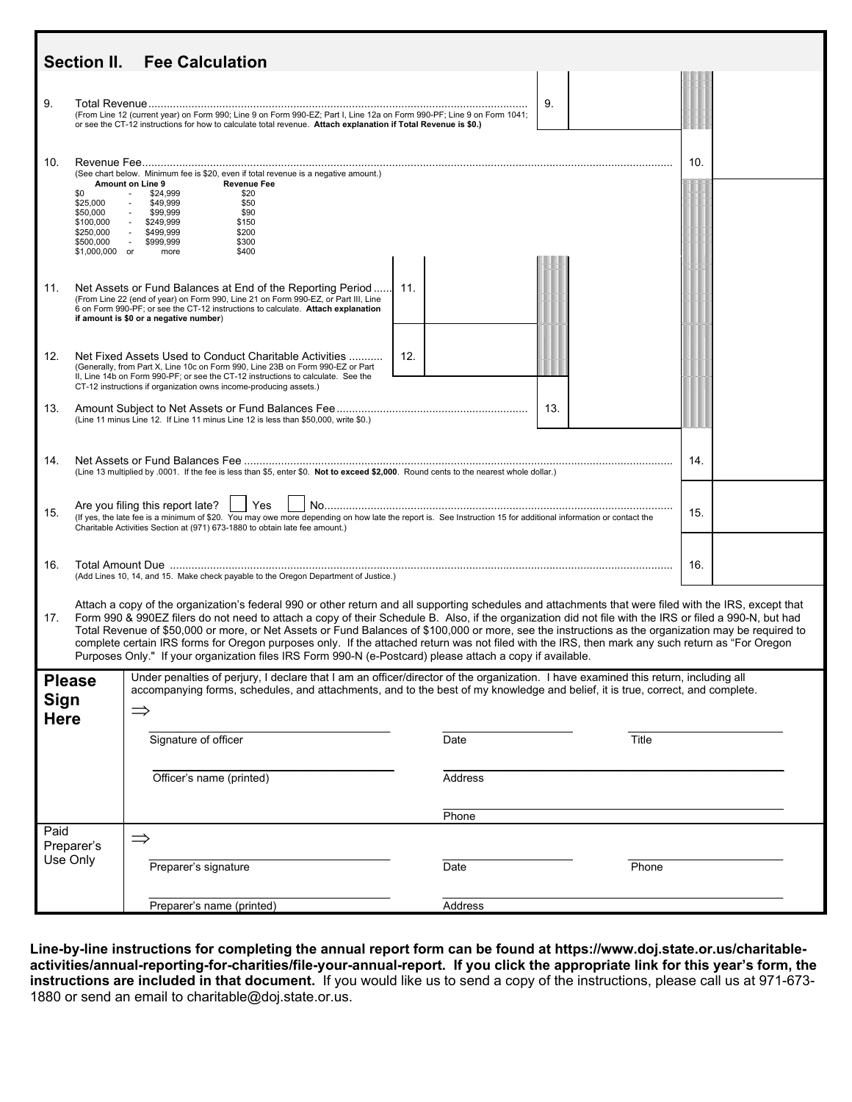| <b>Section II.</b><br><b>Fee Calculation</b>                                                                                                                                                                                                                                                                                                                                                                                                                                                                                                                                                                                                                                                                                                     |                                                                                                                                                                                                                                                                                                            |                                                                                                                                                                                                                                                                                                   |     |         |       |     |
|--------------------------------------------------------------------------------------------------------------------------------------------------------------------------------------------------------------------------------------------------------------------------------------------------------------------------------------------------------------------------------------------------------------------------------------------------------------------------------------------------------------------------------------------------------------------------------------------------------------------------------------------------------------------------------------------------------------------------------------------------|------------------------------------------------------------------------------------------------------------------------------------------------------------------------------------------------------------------------------------------------------------------------------------------------------------|---------------------------------------------------------------------------------------------------------------------------------------------------------------------------------------------------------------------------------------------------------------------------------------------------|-----|---------|-------|-----|
| 9.                                                                                                                                                                                                                                                                                                                                                                                                                                                                                                                                                                                                                                                                                                                                               |                                                                                                                                                                                                                                                                                                            | (From Line 12 (current year) on Form 990; Line 9 on Form 990-EZ; Part I, Line 12a on Form 990-PF; Line 9 on Form 1041;<br>or see the CT-12 instructions for how to calculate total revenue. Attach explanation if Total Revenue is \$0.)                                                          |     |         | 9.    |     |
| 10.                                                                                                                                                                                                                                                                                                                                                                                                                                                                                                                                                                                                                                                                                                                                              | \$0<br>\$25,000<br>\$50,000<br>\$100,000<br>\$250,000<br>\$500,000<br>$$1,000,000$ or                                                                                                                                                                                                                      | (See chart below. Minimum fee is \$20, even if total revenue is a negative amount.)<br>Amount on Line 9<br><b>Revenue Fee</b><br>\$24,999<br>\$20<br>\$49,999<br>\$50<br>\$99,999<br>\$90<br>\$249,999<br>\$150<br>\$499,999<br>\$200<br>\$300<br>$\sim 10$<br>\$999,999<br>\$400<br>more         |     |         |       | 10. |
| 11.                                                                                                                                                                                                                                                                                                                                                                                                                                                                                                                                                                                                                                                                                                                                              |                                                                                                                                                                                                                                                                                                            | Net Assets or Fund Balances at End of the Reporting Period<br>(From Line 22 (end of year) on Form 990, Line 21 on Form 990-EZ, or Part III, Line<br>6 on Form 990-PF; or see the CT-12 instructions to calculate. Attach explanation<br>if amount is \$0 or a negative number)                    | 11. |         |       |     |
| 12.                                                                                                                                                                                                                                                                                                                                                                                                                                                                                                                                                                                                                                                                                                                                              |                                                                                                                                                                                                                                                                                                            | Net Fixed Assets Used to Conduct Charitable Activities<br>(Generally, from Part X, Line 10c on Form 990, Line 23B on Form 990-EZ or Part<br>II, Line 14b on Form 990-PF; or see the CT-12 instructions to calculate. See the<br>CT-12 instructions if organization owns income-producing assets.) | 12. |         |       |     |
| 13.                                                                                                                                                                                                                                                                                                                                                                                                                                                                                                                                                                                                                                                                                                                                              | 13.<br>(Line 11 minus Line 12. If Line 11 minus Line 12 is less than \$50,000, write \$0.)                                                                                                                                                                                                                 |                                                                                                                                                                                                                                                                                                   |     |         |       |     |
| 14.                                                                                                                                                                                                                                                                                                                                                                                                                                                                                                                                                                                                                                                                                                                                              | 14.<br>(Line 13 multiplied by .0001. If the fee is less than \$5, enter \$0. Not to exceed \$2,000. Round cents to the nearest whole dollar.)                                                                                                                                                              |                                                                                                                                                                                                                                                                                                   |     |         |       |     |
| 15.                                                                                                                                                                                                                                                                                                                                                                                                                                                                                                                                                                                                                                                                                                                                              | Are you filing this report late? $\vert \vert$ Yes<br>15.<br>(If yes, the late fee is a minimum of \$20. You may owe more depending on how late the report is. See Instruction 15 for additional information or contact the<br>Charitable Activities Section at (971) 673-1880 to obtain late fee amount.) |                                                                                                                                                                                                                                                                                                   |     |         |       |     |
| 16.                                                                                                                                                                                                                                                                                                                                                                                                                                                                                                                                                                                                                                                                                                                                              | 16.<br>(Add Lines 10, 14, and 15. Make check payable to the Oregon Department of Justice.)                                                                                                                                                                                                                 |                                                                                                                                                                                                                                                                                                   |     |         |       |     |
| Attach a copy of the organization's federal 990 or other return and all supporting schedules and attachments that were filed with the IRS, except that<br>Form 990 & 990EZ filers do not need to attach a copy of their Schedule B. Also, if the organization did not file with the IRS or filed a 990-N, but had<br>17.<br>Total Revenue of \$50,000 or more, or Net Assets or Fund Balances of \$100,000 or more, see the instructions as the organization may be required to<br>complete certain IRS forms for Oregon purposes only. If the attached return was not filed with the IRS, then mark any such return as "For Oregon<br>Purposes Only." If your organization files IRS Form 990-N (e-Postcard) please attach a copy if available. |                                                                                                                                                                                                                                                                                                            |                                                                                                                                                                                                                                                                                                   |     |         |       |     |
| Under penalties of perjury, I declare that I am an officer/director of the organization. I have examined this return, including all<br><b>Please</b><br>accompanying forms, schedules, and attachments, and to the best of my knowledge and belief, it is true, correct, and complete.<br>Sign<br>$\Rightarrow$<br><b>Here</b>                                                                                                                                                                                                                                                                                                                                                                                                                   |                                                                                                                                                                                                                                                                                                            |                                                                                                                                                                                                                                                                                                   |     |         |       |     |
|                                                                                                                                                                                                                                                                                                                                                                                                                                                                                                                                                                                                                                                                                                                                                  |                                                                                                                                                                                                                                                                                                            | Signature of officer                                                                                                                                                                                                                                                                              |     | Date    | Title |     |
|                                                                                                                                                                                                                                                                                                                                                                                                                                                                                                                                                                                                                                                                                                                                                  |                                                                                                                                                                                                                                                                                                            | Officer's name (printed)                                                                                                                                                                                                                                                                          |     | Address |       |     |
| Paid<br>Preparer's<br>Use Only                                                                                                                                                                                                                                                                                                                                                                                                                                                                                                                                                                                                                                                                                                                   |                                                                                                                                                                                                                                                                                                            |                                                                                                                                                                                                                                                                                                   |     | Phone   |       |     |
|                                                                                                                                                                                                                                                                                                                                                                                                                                                                                                                                                                                                                                                                                                                                                  |                                                                                                                                                                                                                                                                                                            | $\Rightarrow$<br>Preparer's signature                                                                                                                                                                                                                                                             |     | Date    | Phone |     |
|                                                                                                                                                                                                                                                                                                                                                                                                                                                                                                                                                                                                                                                                                                                                                  |                                                                                                                                                                                                                                                                                                            | Preparer's name (printed)                                                                                                                                                                                                                                                                         |     | Address |       |     |

**Line-by-line instructions for completing the annual report form can be found at https://www.doj.state.or.us/charitableactivities/annual-reporting-for-charities/file-your-annual-report. If you click the appropriate link for this year's form, the instructions are included in that document.** If you would like us to send a copy of the instructions, please call us at 971-673- 1880 or send an email to charitable@doj.state.or.us.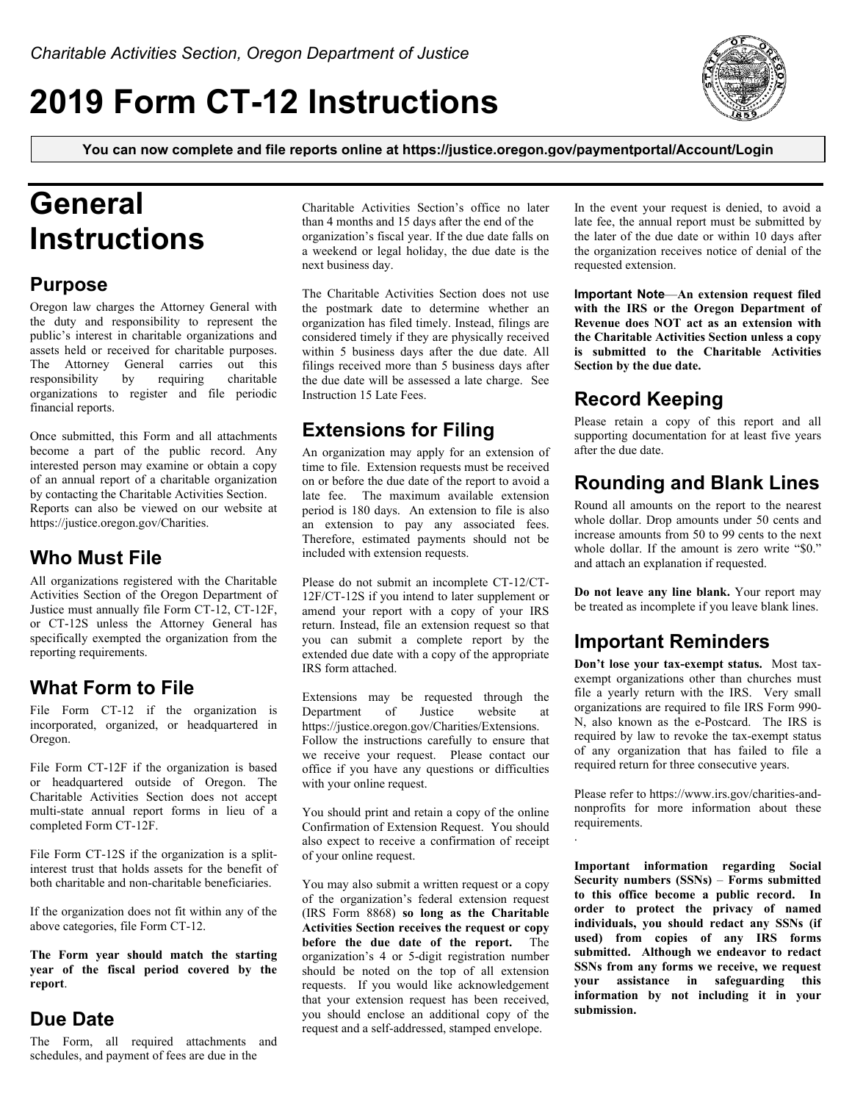# **2019 Form CT-12 Instructions**



**You can now complete and file reports online at https://justice.oregon.gov/paymentportal/Account/Login**

# **General Instructions**

#### **Purpose**

Oregon law charges the Attorney General with the duty and responsibility to represent the public's interest in charitable organizations and assets held or received for charitable purposes. The Attorney General carries out this responsibility by requiring charitable organizations to register and file periodic financial reports.

Once submitted, this Form and all attachments become a part of the public record. Any interested person may examine or obtain a copy of an annual report of a charitable organization by contacting the Charitable Activities Section. Reports can also be viewed on our website at https://justice.oregon.gov/Charities.

## **Who Must File**

All organizations registered with the Charitable Activities Section of the Oregon Department of Justice must annually file Form CT-12, CT-12F, or CT-12S unless the Attorney General has specifically exempted the organization from the reporting requirements.

### **What Form to File**

File Form CT-12 if the organization is incorporated, organized, or headquartered in Oregon.

File Form CT-12F if the organization is based or headquartered outside of Oregon. The Charitable Activities Section does not accept multi-state annual report forms in lieu of a completed Form CT-12F.

File Form CT-12S if the organization is a splitinterest trust that holds assets for the benefit of both charitable and non-charitable beneficiaries.

If the organization does not fit within any of the above categories, file Form CT-12.

**The Form year should match the starting year of the fiscal period covered by the report**.

### **Due Date**

The Form, all required attachments and schedules, and payment of fees are due in the

Charitable Activities Section's office no later than 4 months and 15 days after the end of the organization's fiscal year. If the due date falls on a weekend or legal holiday, the due date is the next business day.

The Charitable Activities Section does not use the postmark date to determine whether an organization has filed timely. Instead, filings are considered timely if they are physically received within 5 business days after the due date. All filings received more than 5 business days after the due date will be assessed a late charge. See Instruction 15 Late Fees.

### **Extensions for Filing**

An organization may apply for an extension of time to file. Extension requests must be received on or before the due date of the report to avoid a late fee. The maximum available extension period is 180 days. An extension to file is also an extension to pay any associated fees. Therefore, estimated payments should not be included with extension requests.

Please do not submit an incomplete CT-12/CT-12F/CT-12S if you intend to later supplement or amend your report with a copy of your IRS return. Instead, file an extension request so that you can submit a complete report by the extended due date with a copy of the appropriate IRS form attached.

Extensions may be requested through the Department of Justice website at https://justice.oregon.gov/Charities/Extensions. Follow the instructions carefully to ensure that we receive your request. Please contact our office if you have any questions or difficulties with your online request.

You should print and retain a copy of the online Confirmation of Extension Request. You should also expect to receive a confirmation of receipt of your online request.

You may also submit a written request or a copy of the organization's federal extension request (IRS Form 8868) **so long as the Charitable Activities Section receives the request or copy before the due date of the report.** The organization's 4 or 5-digit registration number should be noted on the top of all extension requests. If you would like acknowledgement that your extension request has been received, you should enclose an additional copy of the request and a self-addressed, stamped envelope.

In the event your request is denied, to avoid a late fee, the annual report must be submitted by the later of the due date or within 10 days after the organization receives notice of denial of the requested extension.

**Important Note**—**An extension request filed with the IRS or the Oregon Department of Revenue does NOT act as an extension with the Charitable Activities Section unless a copy is submitted to the Charitable Activities Section by the due date.**

## **Record Keeping**

Please retain a copy of this report and all supporting documentation for at least five years after the due date.

## **Rounding and Blank Lines**

Round all amounts on the report to the nearest whole dollar. Drop amounts under 50 cents and increase amounts from 50 to 99 cents to the next whole dollar. If the amount is zero write "\$0." and attach an explanation if requested.

**Do not leave any line blank.** Your report may be treated as incomplete if you leave blank lines.

#### **Important Reminders**

**Don't lose your tax-exempt status.** Most taxexempt organizations other than churches must file a yearly return with the IRS. Very small organizations are required to file IRS Form 990- N, also known as the e-Postcard. The IRS is required by law to revoke the tax-exempt status of any organization that has failed to file a required return for three consecutive years.

Please refer to https://www.irs.gov/charities-andnonprofits for more information about these requirements.

.

**Important information regarding Social Security numbers (SSNs)** – **Forms submitted to this office become a public record. In order to protect the privacy of named individuals, you should redact any SSNs (if used) from copies of any IRS forms submitted. Although we endeavor to redact SSNs from any forms we receive, we request your assistance in safeguarding this information by not including it in your submission.**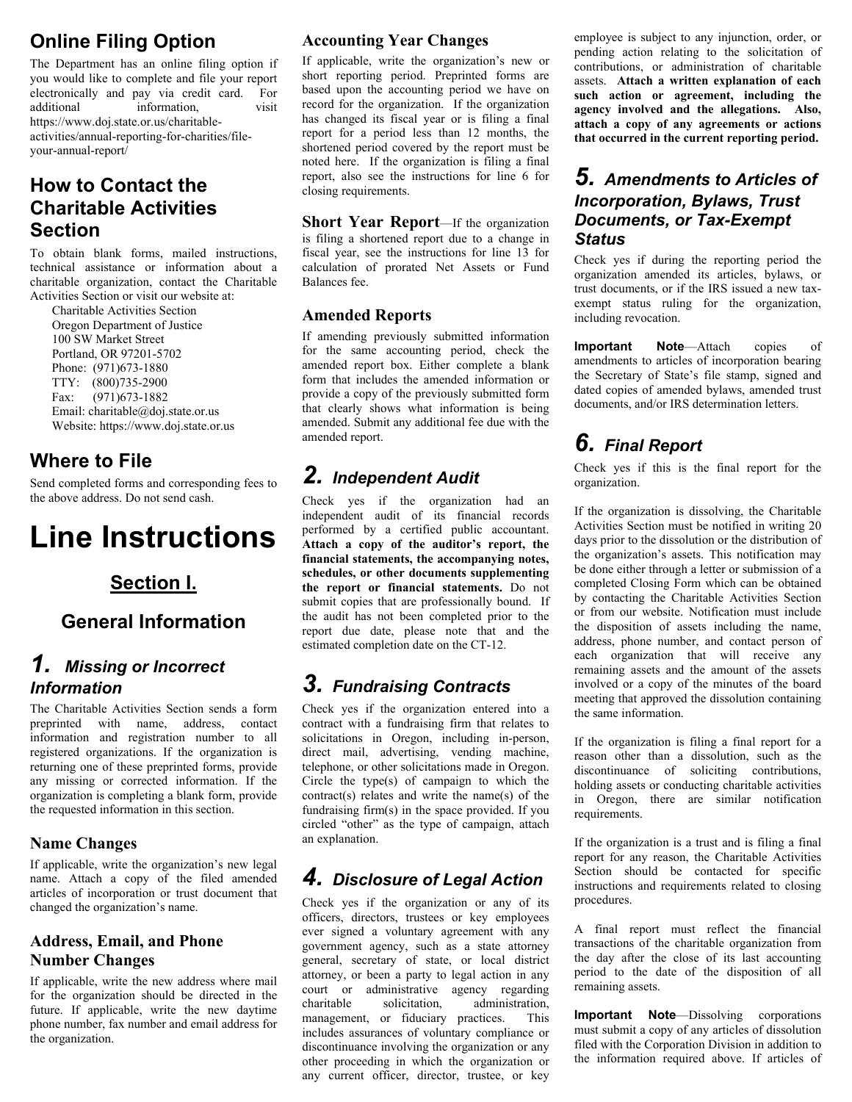## **Online Filing Option**

The Department has an online filing option if you would like to complete and file your report electronically and pay via credit card. For additional information, visit https://www.doj.state.or.us/charitableactivities/annual-reporting-for-charities/fileyour-annual-report/

## **How to Contact the Charitable Activities Section**

To obtain blank forms, mailed instructions, technical assistance or information about a charitable organization, contact the Charitable Activities Section or visit our website at:

 Charitable Activities Section Oregon Department of Justice 100 SW Market Street Portland, OR 97201-5702 Phone: (971)673-1880 TTY: (800)735-2900 Fax: (971)673-1882 Email: charitable@doj.state.or.us Website: https://www.doj.state.or.us

## **Where to File**

Send completed forms and corresponding fees to the above address. Do not send cash.

# **Line Instructions**

## **Section I.**

### **General Information**

### *1. Missing or Incorrect Information*

The Charitable Activities Section sends a form preprinted with name, address, contact information and registration number to all registered organizations. If the organization is returning one of these preprinted forms, provide any missing or corrected information. If the organization is completing a blank form, provide the requested information in this section.

#### **Name Changes**

If applicable, write the organization's new legal name. Attach a copy of the filed amended articles of incorporation or trust document that changed the organization's name.

#### **Address, Email, and Phone Number Changes**

If applicable, write the new address where mail for the organization should be directed in the future. If applicable, write the new daytime phone number, fax number and email address for the organization.

#### **Accounting Year Changes**

If applicable, write the organization's new or short reporting period. Preprinted forms are based upon the accounting period we have on record for the organization. If the organization has changed its fiscal year or is filing a final report for a period less than 12 months, the shortened period covered by the report must be noted here. If the organization is filing a final report, also see the instructions for line 6 for closing requirements.

**Short Year Report**—If the organization is filing a shortened report due to a change in fiscal year, see the instructions for line 13 for calculation of prorated Net Assets or Fund Balances fee.

#### **Amended Reports**

If amending previously submitted information for the same accounting period, check the amended report box. Either complete a blank form that includes the amended information or provide a copy of the previously submitted form that clearly shows what information is being amended. Submit any additional fee due with the amended report.

## *2. Independent Audit*

Check yes if the organization had an independent audit of its financial records performed by a certified public accountant. **Attach a copy of the auditor's report, the financial statements, the accompanying notes, schedules, or other documents supplementing the report or financial statements.** Do not submit copies that are professionally bound. If the audit has not been completed prior to the report due date, please note that and the estimated completion date on the CT-12.

## *3. Fundraising Contracts*

Check yes if the organization entered into a contract with a fundraising firm that relates to solicitations in Oregon, including in-person, direct mail, advertising, vending machine, telephone, or other solicitations made in Oregon. Circle the type(s) of campaign to which the contract(s) relates and write the name(s) of the fundraising firm(s) in the space provided. If you circled "other" as the type of campaign, attach an explanation.

## *4. Disclosure of Legal Action*

Check yes if the organization or any of its officers, directors, trustees or key employees ever signed a voluntary agreement with any government agency, such as a state attorney general, secretary of state, or local district attorney, or been a party to legal action in any court or administrative agency regarding charitable solicitation, administration, management, or fiduciary practices. This includes assurances of voluntary compliance or discontinuance involving the organization or any other proceeding in which the organization or any current officer, director, trustee, or key employee is subject to any injunction, order, or pending action relating to the solicitation of contributions, or administration of charitable assets. **Attach a written explanation of each such action or agreement, including the agency involved and the allegations. Also, attach a copy of any agreements or actions that occurred in the current reporting period.**

#### *5. Amendments to Articles of Incorporation, Bylaws, Trust Documents, or Tax-Exempt Status*

Check yes if during the reporting period the organization amended its articles, bylaws, or trust documents, or if the IRS issued a new taxexempt status ruling for the organization, including revocation.

**Important Note**—Attach copies of amendments to articles of incorporation bearing the Secretary of State's file stamp, signed and dated copies of amended bylaws, amended trust documents, and/or IRS determination letters.

## *6. Final Report*

Check yes if this is the final report for the organization.

If the organization is dissolving, the Charitable Activities Section must be notified in writing 20 days prior to the dissolution or the distribution of the organization's assets. This notification may be done either through a letter or submission of a completed Closing Form which can be obtained by contacting the Charitable Activities Section or from our website. Notification must include the disposition of assets including the name, address, phone number, and contact person of each organization that will receive any remaining assets and the amount of the assets involved or a copy of the minutes of the board meeting that approved the dissolution containing the same information.

If the organization is filing a final report for a reason other than a dissolution, such as the discontinuance of soliciting contributions, holding assets or conducting charitable activities in Oregon, there are similar notification requirements.

If the organization is a trust and is filing a final report for any reason, the Charitable Activities Section should be contacted for specific instructions and requirements related to closing procedures.

A final report must reflect the financial transactions of the charitable organization from the day after the close of its last accounting period to the date of the disposition of all remaining assets.

**Important Note**—Dissolving corporations must submit a copy of any articles of dissolution filed with the Corporation Division in addition to the information required above. If articles of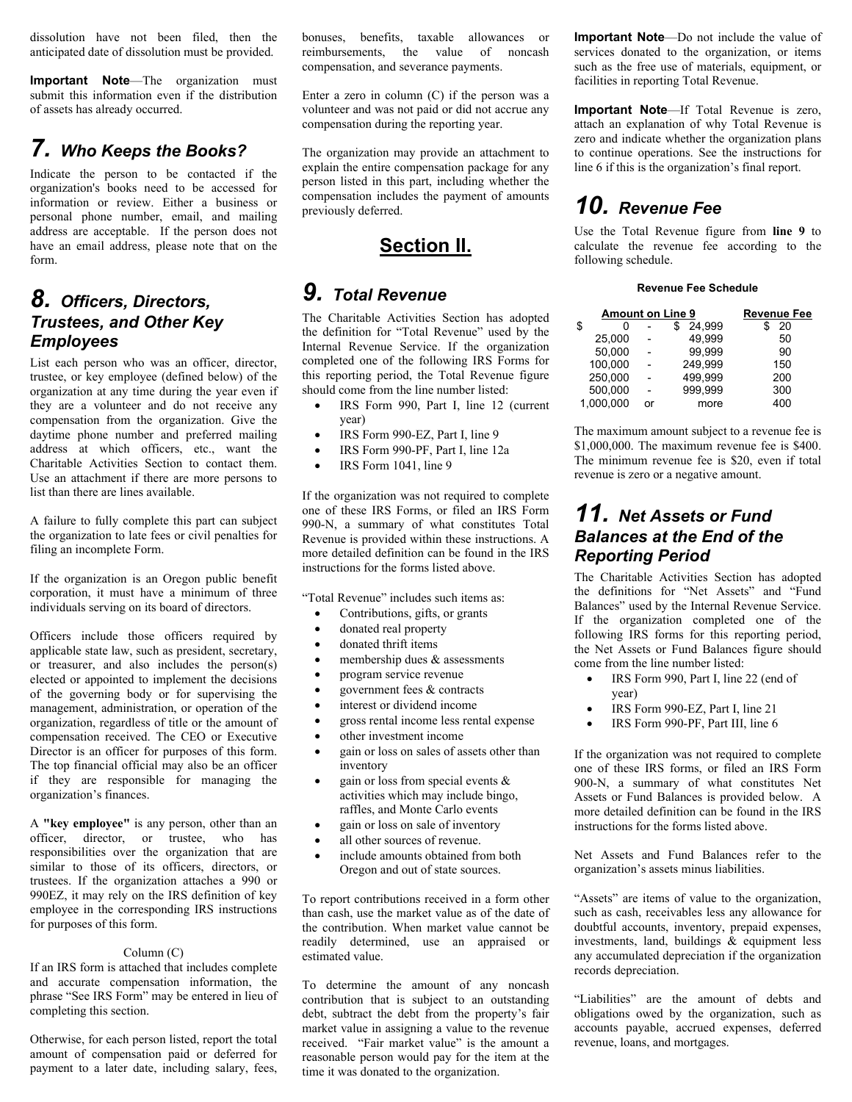dissolution have not been filed, then the anticipated date of dissolution must be provided.

**Important Note**—The organization must submit this information even if the distribution of assets has already occurred.

### *7. Who Keeps the Books?*

Indicate the person to be contacted if the organization's books need to be accessed for information or review. Either a business or personal phone number, email, and mailing address are acceptable. If the person does not have an email address, please note that on the form.

#### *8. Officers, Directors, Trustees, and Other Key Employees*

List each person who was an officer, director, trustee, or key employee (defined below) of the organization at any time during the year even if they are a volunteer and do not receive any compensation from the organization. Give the daytime phone number and preferred mailing address at which officers, etc., want the Charitable Activities Section to contact them. Use an attachment if there are more persons to list than there are lines available.

A failure to fully complete this part can subject the organization to late fees or civil penalties for filing an incomplete Form.

If the organization is an Oregon public benefit corporation, it must have a minimum of three individuals serving on its board of directors.

Officers include those officers required by applicable state law, such as president, secretary, or treasurer, and also includes the person(s) elected or appointed to implement the decisions of the governing body or for supervising the management, administration, or operation of the organization, regardless of title or the amount of compensation received. The CEO or Executive Director is an officer for purposes of this form. The top financial official may also be an officer if they are responsible for managing the organization's finances.

A **"key employee"** is any person, other than an officer, director, or trustee, who has responsibilities over the organization that are similar to those of its officers, directors, or trustees. If the organization attaches a 990 or 990EZ, it may rely on the IRS definition of key employee in the corresponding IRS instructions for purposes of this form.

#### Column (C)

If an IRS form is attached that includes complete and accurate compensation information, the phrase "See IRS Form" may be entered in lieu of completing this section.

Otherwise, for each person listed, report the total amount of compensation paid or deferred for payment to a later date, including salary, fees, bonuses, benefits, taxable allowances or reimbursements, the value of noncash compensation, and severance payments.

Enter a zero in column (C) if the person was a volunteer and was not paid or did not accrue any compensation during the reporting year.

The organization may provide an attachment to explain the entire compensation package for any person listed in this part, including whether the compensation includes the payment of amounts previously deferred.

#### **Section II.**

#### *9. Total Revenue*

The Charitable Activities Section has adopted the definition for "Total Revenue" used by the Internal Revenue Service. If the organization completed one of the following IRS Forms for this reporting period, the Total Revenue figure should come from the line number listed:

- IRS Form 990, Part I, line 12 (current year)
- IRS Form 990-EZ, Part I, line 9
- IRS Form 990-PF, Part I, line 12a
- IRS Form 1041, line 9

If the organization was not required to complete one of these IRS Forms, or filed an IRS Form 990-N, a summary of what constitutes Total Revenue is provided within these instructions. A more detailed definition can be found in the IRS instructions for the forms listed above.

"Total Revenue" includes such items as:

- Contributions, gifts, or grants
- donated real property
- donated thrift items
- membership dues & assessments
- program service revenue
- government fees & contracts
- interest or dividend income
- gross rental income less rental expense
- other investment income
- gain or loss on sales of assets other than inventory
- gain or loss from special events & activities which may include bingo, raffles, and Monte Carlo events
- gain or loss on sale of inventory
- all other sources of revenue.
- include amounts obtained from both Oregon and out of state sources.

To report contributions received in a form other than cash, use the market value as of the date of the contribution. When market value cannot be readily determined, use an appraised or estimated value.

To determine the amount of any noncash contribution that is subject to an outstanding debt, subtract the debt from the property's fair market value in assigning a value to the revenue received. "Fair market value" is the amount a reasonable person would pay for the item at the time it was donated to the organization.

**Important Note**—Do not include the value of services donated to the organization, or items such as the free use of materials, equipment, or facilities in reporting Total Revenue.

**Important Note**—If Total Revenue is zero, attach an explanation of why Total Revenue is zero and indicate whether the organization plans to continue operations. See the instructions for line 6 if this is the organization's final report.

## *10. Revenue Fee*

Use the Total Revenue figure from **line 9** to calculate the revenue fee according to the following schedule.

#### **Revenue Fee Schedule**

| <b>Amount on Line 9</b> | Revenue Fee |         |     |
|-------------------------|-------------|---------|-----|
| \$<br>0                 |             | 24.999  | 20  |
| 25.000                  |             | 49.999  | 50  |
| 50.000                  |             | 99.999  | 90  |
| 100,000                 |             | 249.999 | 150 |
| 250,000                 |             | 499.999 | 200 |
| 500,000                 |             | 999.999 | 300 |
| 1.000.000               | nr          | more    | 400 |

The maximum amount subject to a revenue fee is \$1,000,000. The maximum revenue fee is \$400. The minimum revenue fee is \$20, even if total revenue is zero or a negative amount.

#### *11. Net Assets or Fund Balances at the End of the Reporting Period*

The Charitable Activities Section has adopted the definitions for "Net Assets" and "Fund Balances" used by the Internal Revenue Service. If the organization completed one of the following IRS forms for this reporting period, the Net Assets or Fund Balances figure should come from the line number listed:

- IRS Form 990, Part I, line 22 (end of year)
- IRS Form 990-EZ, Part I, line 21
- IRS Form 990-PF, Part III, line 6

If the organization was not required to complete one of these IRS forms, or filed an IRS Form 900-N, a summary of what constitutes Net Assets or Fund Balances is provided below. A more detailed definition can be found in the IRS instructions for the forms listed above.

Net Assets and Fund Balances refer to the organization's assets minus liabilities.

"Assets" are items of value to the organization, such as cash, receivables less any allowance for doubtful accounts, inventory, prepaid expenses, investments, land, buildings & equipment less any accumulated depreciation if the organization records depreciation.

"Liabilities" are the amount of debts and obligations owed by the organization, such as accounts payable, accrued expenses, deferred revenue, loans, and mortgages.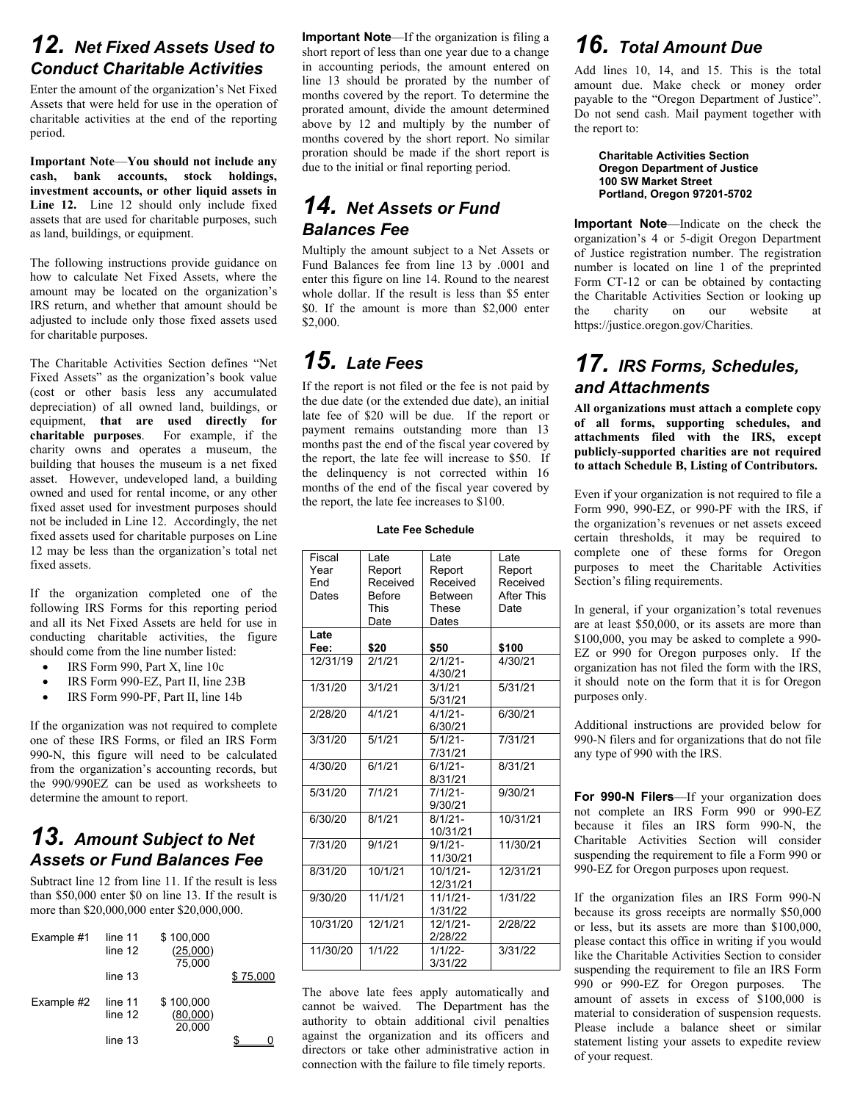### *12. Net Fixed Assets Used to Conduct Charitable Activities*

Enter the amount of the organization's Net Fixed Assets that were held for use in the operation of charitable activities at the end of the reporting period.

**Important Note**—**You should not include any cash, bank accounts, stock holdings, investment accounts, or other liquid assets in Line 12.** Line 12 should only include fixed assets that are used for charitable purposes, such as land, buildings, or equipment.

The following instructions provide guidance on how to calculate Net Fixed Assets, where the amount may be located on the organization's IRS return, and whether that amount should be adjusted to include only those fixed assets used for charitable purposes.

The Charitable Activities Section defines "Net Fixed Assets" as the organization's book value (cost or other basis less any accumulated depreciation) of all owned land, buildings, or equipment, **that are used directly for charitable purposes**. For example, if the charity owns and operates a museum, the building that houses the museum is a net fixed asset. However, undeveloped land, a building owned and used for rental income, or any other fixed asset used for investment purposes should not be included in Line 12. Accordingly, the net fixed assets used for charitable purposes on Line 12 may be less than the organization's total net fixed assets.

If the organization completed one of the following IRS Forms for this reporting period and all its Net Fixed Assets are held for use in conducting charitable activities, the figure should come from the line number listed:

- IRS Form 990, Part X, line 10c
- IRS Form 990-EZ, Part II, line 23B
- IRS Form 990-PF, Part II, line 14b

If the organization was not required to complete one of these IRS Forms, or filed an IRS Form 990-N, this figure will need to be calculated from the organization's accounting records, but the 990/990EZ can be used as worksheets to determine the amount to report.

## *13. Amount Subject to Net Assets or Fund Balances Fee*

Subtract line 12 from line 11. If the result is less than \$50,000 enter \$0 on line 13. If the result is more than \$20,000,000 enter \$20,000,000.

| Example #1 | line 11<br>line 12<br>line 13 | \$100,000<br>(25,000)<br>75.000 | 75 000 |
|------------|-------------------------------|---------------------------------|--------|
| Example #2 | line 11<br>line 12<br>line 13 | \$100,000<br>(80,000)<br>20.000 |        |

**Important Note**—If the organization is filing a short report of less than one year due to a change in accounting periods, the amount entered on line 13 should be prorated by the number of months covered by the report. To determine the prorated amount, divide the amount determined above by 12 and multiply by the number of months covered by the short report. No similar proration should be made if the short report is due to the initial or final reporting period.

### *14. Net Assets or Fund Balances Fee*

Multiply the amount subject to a Net Assets or Fund Balances fee from line 13 by .0001 and enter this figure on line 14. Round to the nearest whole dollar. If the result is less than \$5 enter \$0. If the amount is more than \$2,000 enter \$2,000.

## *15. Late Fees*

If the report is not filed or the fee is not paid by the due date (or the extended due date), an initial late fee of \$20 will be due. If the report or payment remains outstanding more than 13 months past the end of the fiscal year covered by the report, the late fee will increase to \$50. If the delinquency is not corrected within 16 months of the end of the fiscal year covered by the report, the late fee increases to \$100.

#### **Late Fee Schedule**

| Fiscal   | Late          | Late           | Late              |
|----------|---------------|----------------|-------------------|
| Year     | Report        | Report         | Report            |
| Fnd      | Received      | Received       | Received          |
| Dates    | <b>Before</b> | <b>Between</b> | <b>After This</b> |
|          | <b>This</b>   | <b>These</b>   | Date              |
|          | Date          | Dates          |                   |
| Late     |               |                |                   |
| Fee:     | \$20          | \$50           | \$100             |
| 12/31/19 | 2/1/21        | $2/1/21-$      | 4/30/21           |
|          |               | 4/30/21        |                   |
| 1/31/20  | 3/1/21        | 3/1/21         | 5/31/21           |
|          |               | 5/31/21        |                   |
| 2/28/20  | 4/1/21        | $4/1/21 -$     | 6/30/21           |
|          |               | 6/30/21        |                   |
| 3/31/20  | 5/1/21        | $5/1/21 -$     | 7/31/21           |
|          |               | 7/31/21        |                   |
| 4/30/20  | 6/1/21        | $6/1/21-$      | 8/31/21           |
|          |               | 8/31/21        |                   |
| 5/31/20  | 7/1/21        | $7/1/21-$      | 9/30/21           |
|          |               | 9/30/21        |                   |
| 6/30/20  | 8/1/21        | $8/1/21 -$     | 10/31/21          |
|          |               | 10/31/21       |                   |
| 7/31/20  | 9/1/21        | $9/1/21 -$     | 11/30/21          |
|          |               | 11/30/21       |                   |
| 8/31/20  | 10/1/21       | $10/1/21 -$    | 12/31/21          |
|          |               | 12/31/21       |                   |
| 9/30/20  | 11/1/21       | $11/1/21-$     | 1/31/22           |
|          |               | 1/31/22        |                   |
| 10/31/20 | 12/1/21       | 12/1/21-       | 2/28/22           |
|          |               | 2/28/22        |                   |
| 11/30/20 | 1/1/22        | $1/1/22$ -     | 3/31/22           |
|          |               | 3/31/22        |                   |

The above late fees apply automatically and cannot be waived. The Department has the authority to obtain additional civil penalties against the organization and its officers and directors or take other administrative action in connection with the failure to file timely reports.

## *16. Total Amount Due*

Add lines 10, 14, and 15. This is the total amount due. Make check or money order payable to the "Oregon Department of Justice". Do not send cash. Mail payment together with the report to:

> **Charitable Activities Section Oregon Department of Justice 100 SW Market Street Portland, Oregon 97201-5702**

**Important Note**—Indicate on the check the organization's 4 or 5-digit Oregon Department of Justice registration number. The registration number is located on line 1 of the preprinted Form CT-12 or can be obtained by contacting the Charitable Activities Section or looking up the charity on our website at https://justice.oregon.gov/Charities.

## *17. IRS Forms, Schedules, and Attachments*

**All organizations must attach a complete copy of all forms, supporting schedules, and attachments filed with the IRS, except publicly-supported charities are not required to attach Schedule B, Listing of Contributors.**

Even if your organization is not required to file a Form 990, 990-EZ, or 990-PF with the IRS, if the organization's revenues or net assets exceed certain thresholds, it may be required to complete one of these forms for Oregon purposes to meet the Charitable Activities Section's filing requirements.

In general, if your organization's total revenues are at least \$50,000, or its assets are more than \$100,000, you may be asked to complete a 990- EZ or 990 for Oregon purposes only. If the organization has not filed the form with the IRS, it should note on the form that it is for Oregon purposes only.

Additional instructions are provided below for 990-N filers and for organizations that do not file any type of 990 with the IRS.

**For 990-N Filers**—If your organization does not complete an IRS Form 990 or 990-EZ because it files an IRS form 990-N, the Charitable Activities Section will consider suspending the requirement to file a Form 990 or 990-EZ for Oregon purposes upon request.

If the organization files an IRS Form 990-N because its gross receipts are normally \$50,000 or less, but its assets are more than \$100,000, please contact this office in writing if you would like the Charitable Activities Section to consider suspending the requirement to file an IRS Form 990 or 990-EZ for Oregon purposes. The amount of assets in excess of \$100,000 is material to consideration of suspension requests. Please include a balance sheet or similar statement listing your assets to expedite review of your request.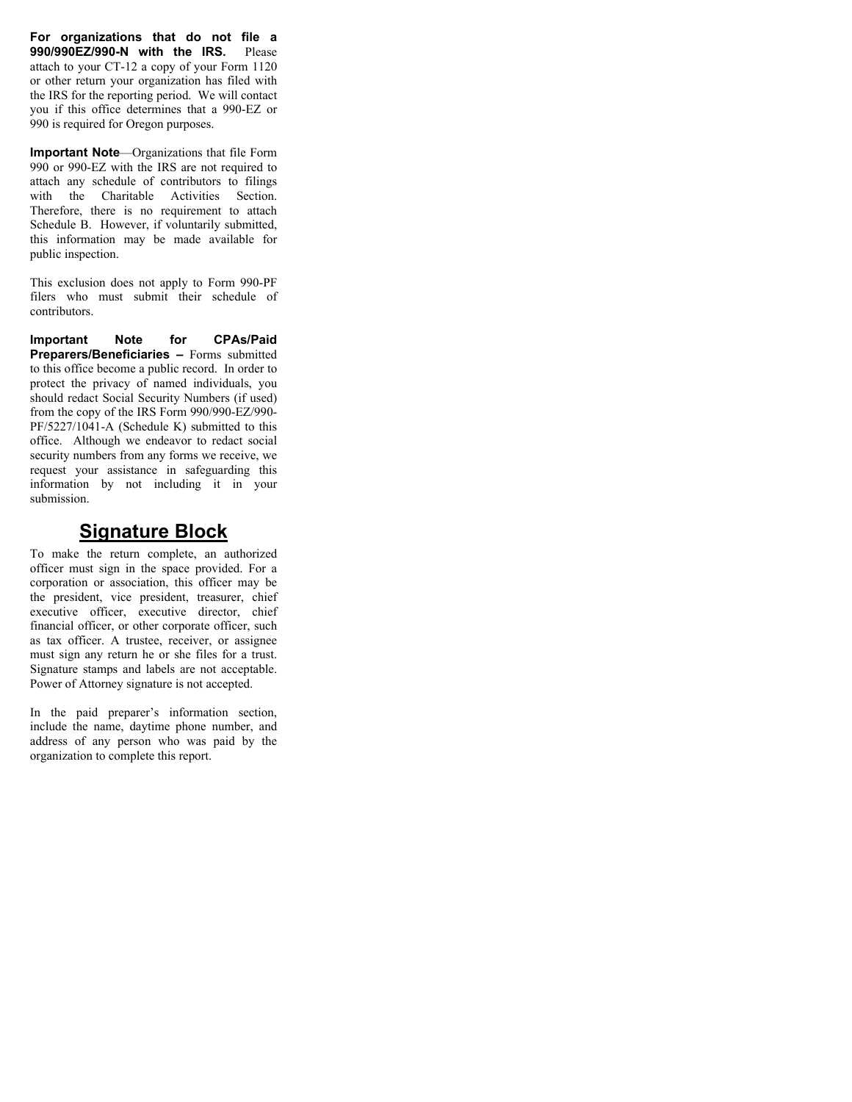**For organizations that do not file a 990/990EZ/990-N with the IRS.** Please attach to your CT-12 a copy of your Form 1120 or other return your organization has filed with the IRS for the reporting period. We will contact you if this office determines that a 990-EZ or 990 is required for Oregon purposes.

**Important Note**—Organizations that file Form 990 or 990-EZ with the IRS are not required to attach any schedule of contributors to filings with the Charitable Activities Section. Therefore, there is no requirement to attach Schedule B. However, if voluntarily submitted, this information may be made available for public inspection.

This exclusion does not apply to Form 990-PF filers who must submit their schedule of contributors.

**Important Note for CPAs/Paid Preparers/Beneficiaries –** Forms submitted to this office become a public record. In order to protect the privacy of named individuals, you should redact Social Security Numbers (if used) from the copy of the IRS Form 990/990-EZ/990- PF/5227/1041-A (Schedule K) submitted to this office. Although we endeavor to redact social security numbers from any forms we receive, we request your assistance in safeguarding this information by not including it in your submission.

#### **Signature Block**

To make the return complete, an authorized officer must sign in the space provided. For a corporation or association, this officer may be the president, vice president, treasurer, chief executive officer, executive director, chief financial officer, or other corporate officer, such as tax officer. A trustee, receiver, or assignee must sign any return he or she files for a trust. Signature stamps and labels are not acceptable. Power of Attorney signature is not accepted.

In the paid preparer's information section, include the name, daytime phone number, and address of any person who was paid by the organization to complete this report.